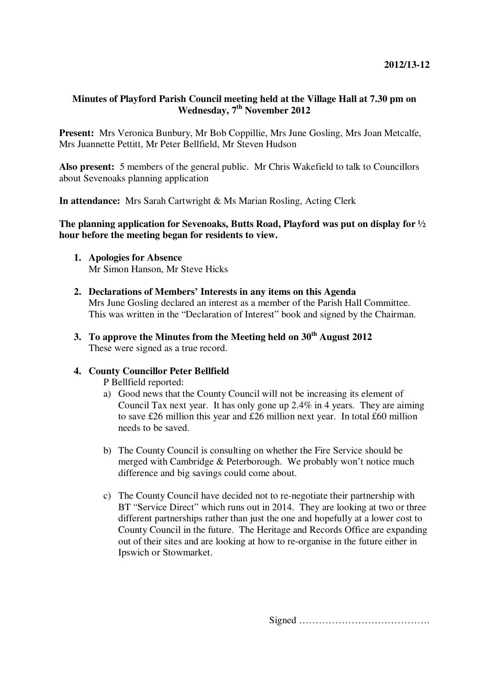# **Minutes of Playford Parish Council meeting held at the Village Hall at 7.30 pm on Wednesday, 7th November 2012**

**Present:** Mrs Veronica Bunbury, Mr Bob Coppillie, Mrs June Gosling, Mrs Joan Metcalfe, Mrs Juannette Pettitt, Mr Peter Bellfield, Mr Steven Hudson

**Also present:** 5 members of the general public. Mr Chris Wakefield to talk to Councillors about Sevenoaks planning application

**In attendance:** Mrs Sarah Cartwright & Ms Marian Rosling, Acting Clerk

# **The planning application for Sevenoaks, Butts Road, Playford was put on display for ½ hour before the meeting began for residents to view.**

- **1. Apologies for Absence**  Mr Simon Hanson, Mr Steve Hicks
- **2. Declarations of Members' Interests in any items on this Agenda**  Mrs June Gosling declared an interest as a member of the Parish Hall Committee. This was written in the "Declaration of Interest" book and signed by the Chairman.
- **3. To approve the Minutes from the Meeting held on 30th August 2012**  These were signed as a true record.

# **4. County Councillor Peter Bellfield**

P Bellfield reported:

- a) Good news that the County Council will not be increasing its element of Council Tax next year. It has only gone up 2.4% in 4 years. They are aiming to save £26 million this year and £26 million next year. In total £60 million needs to be saved.
- b) The County Council is consulting on whether the Fire Service should be merged with Cambridge & Peterborough. We probably won't notice much difference and big savings could come about.
- c) The County Council have decided not to re-negotiate their partnership with BT "Service Direct" which runs out in 2014. They are looking at two or three different partnerships rather than just the one and hopefully at a lower cost to County Council in the future. The Heritage and Records Office are expanding out of their sites and are looking at how to re-organise in the future either in Ipswich or Stowmarket.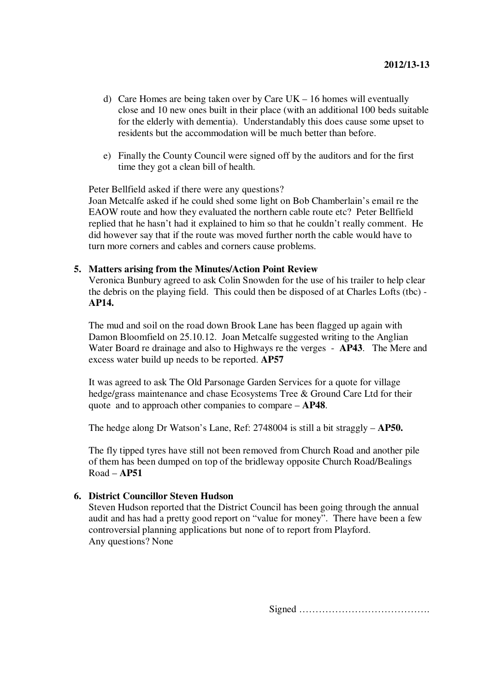- d) Care Homes are being taken over by Care UK 16 homes will eventually close and 10 new ones built in their place (with an additional 100 beds suitable for the elderly with dementia). Understandably this does cause some upset to residents but the accommodation will be much better than before.
- e) Finally the County Council were signed off by the auditors and for the first time they got a clean bill of health.

Peter Bellfield asked if there were any questions?

Joan Metcalfe asked if he could shed some light on Bob Chamberlain's email re the EAOW route and how they evaluated the northern cable route etc? Peter Bellfield replied that he hasn't had it explained to him so that he couldn't really comment. He did however say that if the route was moved further north the cable would have to turn more corners and cables and corners cause problems.

## **5. Matters arising from the Minutes/Action Point Review**

Veronica Bunbury agreed to ask Colin Snowden for the use of his trailer to help clear the debris on the playing field. This could then be disposed of at Charles Lofts (tbc) - **AP14.** 

The mud and soil on the road down Brook Lane has been flagged up again with Damon Bloomfield on 25.10.12. Joan Metcalfe suggested writing to the Anglian Water Board re drainage and also to Highways re the verges - **AP43**. The Mere and excess water build up needs to be reported. **AP57**

It was agreed to ask The Old Parsonage Garden Services for a quote for village hedge/grass maintenance and chase Ecosystems Tree & Ground Care Ltd for their quote and to approach other companies to compare – **AP48**.

The hedge along Dr Watson's Lane, Ref: 2748004 is still a bit straggly – **AP50.**

The fly tipped tyres have still not been removed from Church Road and another pile of them has been dumped on top of the bridleway opposite Church Road/Bealings Road – **AP51** 

## **6. District Councillor Steven Hudson**

Steven Hudson reported that the District Council has been going through the annual audit and has had a pretty good report on "value for money". There have been a few controversial planning applications but none of to report from Playford. Any questions? None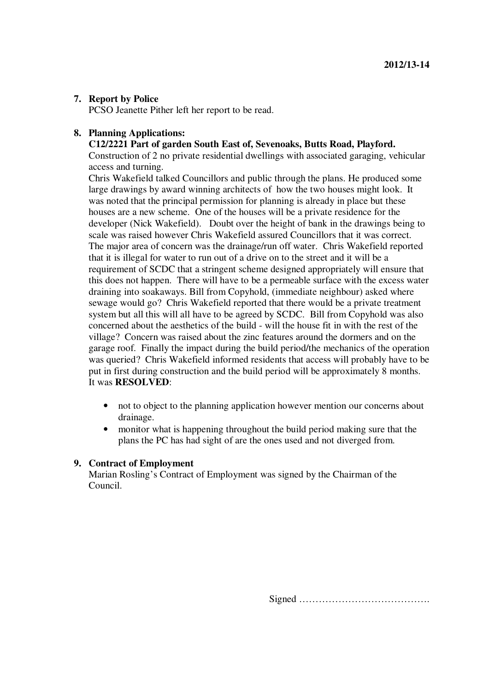## **7. Report by Police**

PCSO Jeanette Pither left her report to be read.

#### **8. Planning Applications:**

## **C12/2221 Part of garden South East of, Sevenoaks, Butts Road, Playford.**

Construction of 2 no private residential dwellings with associated garaging, vehicular access and turning.

Chris Wakefield talked Councillors and public through the plans. He produced some large drawings by award winning architects of how the two houses might look. It was noted that the principal permission for planning is already in place but these houses are a new scheme. One of the houses will be a private residence for the developer (Nick Wakefield). Doubt over the height of bank in the drawings being to scale was raised however Chris Wakefield assured Councillors that it was correct. The major area of concern was the drainage/run off water. Chris Wakefield reported that it is illegal for water to run out of a drive on to the street and it will be a requirement of SCDC that a stringent scheme designed appropriately will ensure that this does not happen. There will have to be a permeable surface with the excess water draining into soakaways. Bill from Copyhold, (immediate neighbour) asked where sewage would go? Chris Wakefield reported that there would be a private treatment system but all this will all have to be agreed by SCDC. Bill from Copyhold was also concerned about the aesthetics of the build - will the house fit in with the rest of the village? Concern was raised about the zinc features around the dormers and on the garage roof. Finally the impact during the build period/the mechanics of the operation was queried? Chris Wakefield informed residents that access will probably have to be put in first during construction and the build period will be approximately 8 months. It was **RESOLVED**:

- not to object to the planning application however mention our concerns about drainage.
- monitor what is happening throughout the build period making sure that the plans the PC has had sight of are the ones used and not diverged from.

#### **9. Contract of Employment**

Marian Rosling's Contract of Employment was signed by the Chairman of the Council.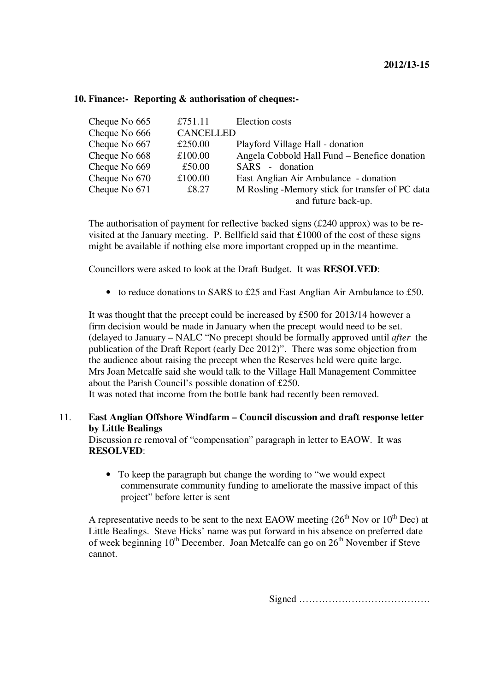| Cheque No 665 | £751.11          | Election costs                                  |
|---------------|------------------|-------------------------------------------------|
| Cheque No 666 | <b>CANCELLED</b> |                                                 |
| Cheque No 667 | £250.00          | Playford Village Hall - donation                |
| Cheque No 668 | £100.00          | Angela Cobbold Hall Fund – Benefice donation    |
| Cheque No 669 | £50.00           | SARS - donation                                 |
| Cheque No 670 | £100.00          | East Anglian Air Ambulance - donation           |
| Cheque No 671 | £8.27            | M Rosling -Memory stick for transfer of PC data |
|               |                  | and future back-up.                             |

#### **10. Finance:- Reporting & authorisation of cheques:-**

The authorisation of payment for reflective backed signs (£240 approx) was to be revisited at the January meeting. P. Bellfield said that £1000 of the cost of these signs might be available if nothing else more important cropped up in the meantime.

Councillors were asked to look at the Draft Budget. It was **RESOLVED**:

• to reduce donations to SARS to £25 and East Anglian Air Ambulance to £50.

It was thought that the precept could be increased by £500 for 2013/14 however a firm decision would be made in January when the precept would need to be set. (delayed to January – NALC "No precept should be formally approved until *after* the publication of the Draft Report (early Dec 2012)". There was some objection from the audience about raising the precept when the Reserves held were quite large. Mrs Joan Metcalfe said she would talk to the Village Hall Management Committee about the Parish Council's possible donation of £250.

It was noted that income from the bottle bank had recently been removed.

## 11. **East Anglian Offshore Windfarm – Council discussion and draft response letter by Little Bealings**

Discussion re removal of "compensation" paragraph in letter to EAOW. It was **RESOLVED**:

• To keep the paragraph but change the wording to "we would expect commensurate community funding to ameliorate the massive impact of this project" before letter is sent

A representative needs to be sent to the next EAOW meeting  $(26<sup>th</sup> Nov or 10<sup>th</sup> Dec)$  at Little Bealings. Steve Hicks' name was put forward in his absence on preferred date of week beginning  $10^{th}$  December. Joan Metcalfe can go on  $26^{th}$  November if Steve cannot.